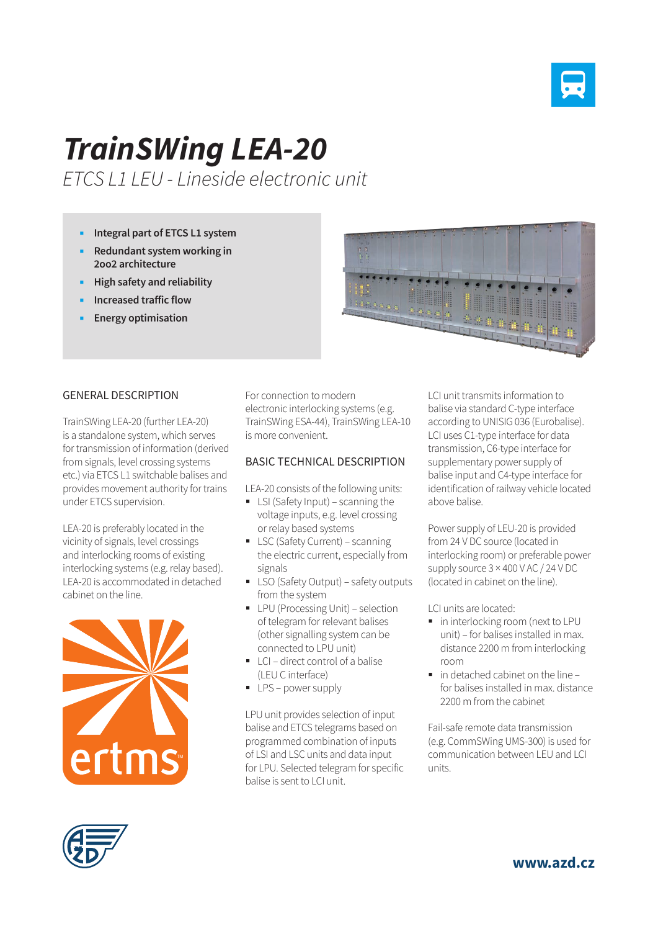

## *TrainSWing LEA-20*

*ETCS L1 LEU - Lineside electronic unit*

- **Integral part of ETCS L1 system**
- **Redundant system working in 2oo2 architecture**
- **High safety and reliability**
- **Increased traffic flow**
- **Energy optimisation**



## GENERAL DESCRIPTION

TrainSWing LEA-20 (further LEA-20) is a standalone system, which serves for transmission of information (derived from signals, level crossing systems etc.) via ETCS L1 switchable balises and provides movement authority for trains under ETCS supervision.

LEA-20 is preferably located in the vicinity of signals, level crossings and interlocking rooms of existing interlocking systems (e.g. relay based). LEA-20 is accommodated in detached cabinet on the line.



For connection to modern electronic interlocking systems (e.g. TrainSWing ESA-44), TrainSWing LEA-10 is more convenient.

## BASIC TECHNICAL DESCRIPTION

LEA-20 consists of the following units:

- **EXI** (Safety Input) scanning the voltage inputs, e.g. level crossing or relay based systems
- **LSC (Safety Current) scanning** the electric current, especially from signals
- **LSO (Safety Output) safety outputs** from the system
- **•** LPU (Processing Unit) selection of telegram for relevant balises (other signalling system can be connected to LPU unit)
- $\blacksquare$  LCI direct control of a balise (LEU C interface)
- **LPS** power supply

LPU unit provides selection of input balise and ETCS telegrams based on programmed combination of inputs of LSI and LSC units and data input for LPU. Selected telegram for specific balise is sent to LCI unit.

LCI unit transmits information to balise via standard C-type interface according to UNISIG 036 (Eurobalise). LCI uses C1-type interface for data transmission, C6-type interface for supplementary power supply of balise input and C4-type interface for identification of railway vehicle located above balise.

Power supply of LEU-20 is provided from 24 V DC source (located in interlocking room) or preferable power supply source 3 × 400 V AC / 24 V DC (located in cabinet on the line).

LCI units are located:

- **in interlocking room (next to LPU** unit) – for balises installed in max. distance 2200 m from interlocking room
- $\blacksquare$  in detached cabinet on the line  $\blacksquare$ for balises installed in max. distance 2200 m from the cabinet

Fail-safe remote data transmission (e.g. CommSWing UMS-300) is used for communication between LEU and LCI units.



**www.azd.cz**